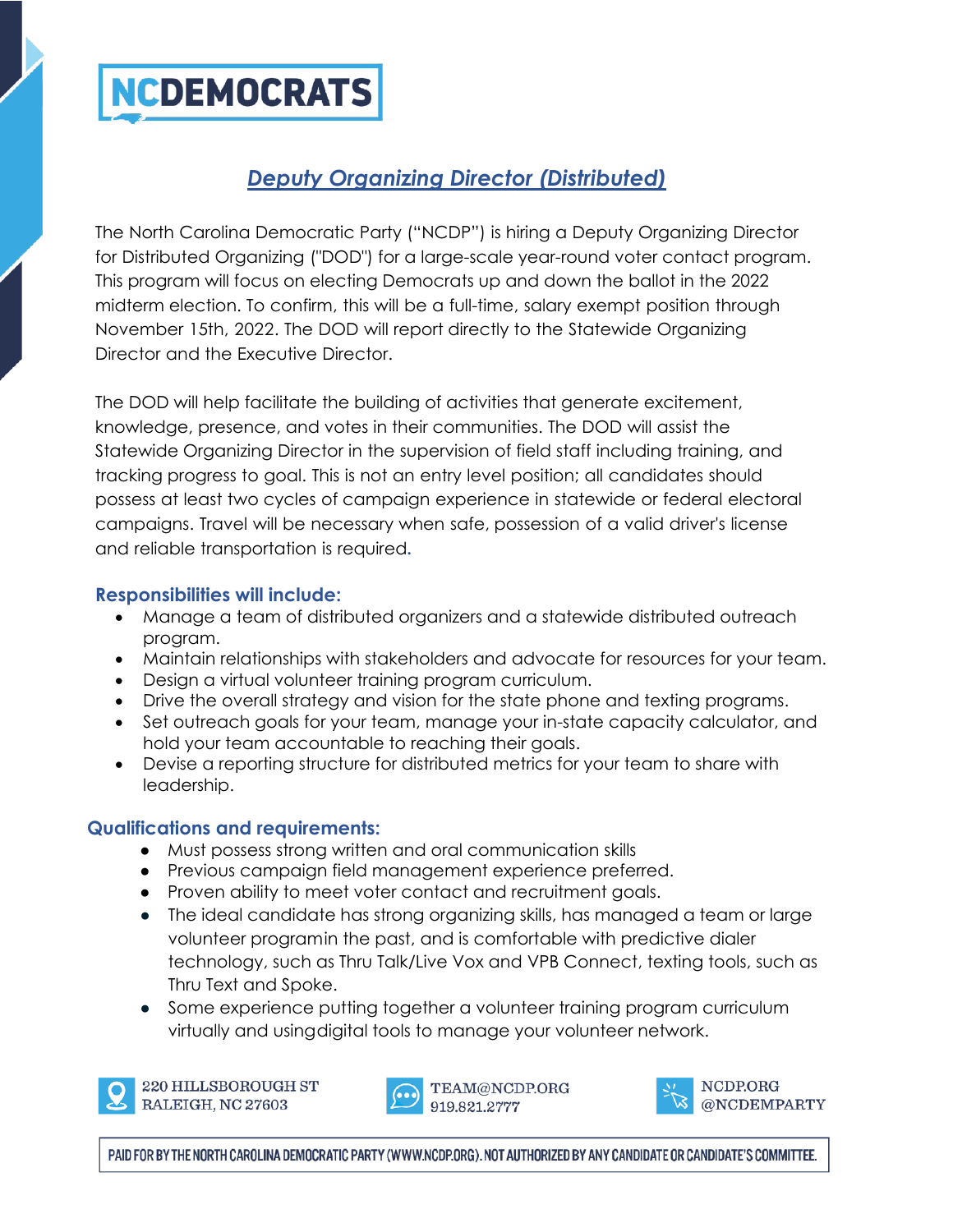

# *Deputy Organizing Director (Distributed)*

The North Carolina Democratic Party ("NCDP") is hiring a Deputy Organizing Director for Distributed Organizing ("DOD") for a large-scale year-round voter contact program. This program will focus on electing Democrats up and down the ballot in the 2022 midterm election. To confirm, this will be a full-time, salary exempt position through November 15th, 2022. The DOD will report directly to the Statewide Organizing Director and the Executive Director.

The DOD will help facilitate the building of activities that generate excitement, knowledge, presence, and votes in their communities. The DOD will assist the Statewide Organizing Director in the supervision of field staff including training, and tracking progress to goal. This is not an entry level position; all candidates should possess at least two cycles of campaign experience in statewide or federal electoral campaigns. Travel will be necessary when safe, possession of a valid driver's license and reliable transportation is required**.**

#### **Responsibilities will include:**

- Manage a team of distributed organizers and a statewide distributed outreach program.
- Maintain relationships with stakeholders and advocate for resources for your team.
- Design a virtual volunteer training program curriculum.
- Drive the overall strategy and vision for the state phone and texting programs.
- Set outreach goals for your team, manage your in-state capacity calculator, and hold your team accountable to reaching their goals.
- Devise a reporting structure for distributed metrics for your team to share with leadership.

### **Qualifications and requirements:**

- Must possess strong written and oral communication skills
- Previous campaign field management experience preferred.
- Proven ability to meet voter contact and recruitment goals.
- The ideal candidate has strong organizing skills, has managed a team or large volunteer programin the past, and is comfortable with predictive dialer technology, such as Thru Talk/Live Vox and VPB Connect, texting tools, such as Thru Text and Spoke.
- Some experience putting together a volunteer training program curriculum virtually and usingdigital tools to manage your volunteer network.



220 HILLSBOROUGH ST RALEIGH, NC 27603



NCDP.ORG @NCDEMPARTY

PAID FOR BY THE NORTH CAROLINA DEMOCRATIC PARTY (WWW.NCDP.ORG). NOT AUTHORIZED BY ANY CANDIDATE OR CANDIDATE'S COMMITTEE.